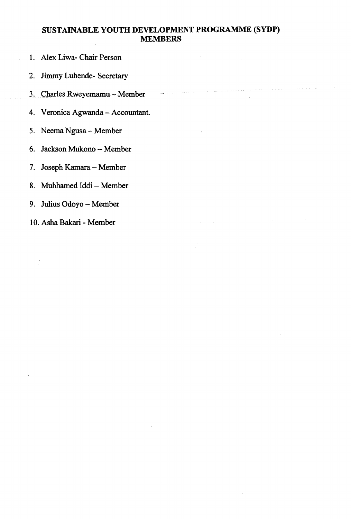#### **SUSTAINABLE YOUTH DEVELOPMENT PROGRAMME (SYDP) MEMBERS**

an<br>Tanzania

- 1. Alex Liwa- Chair Person
- **2. Jimm y Luhende- Secretar y**
- 
- **3. CharlesRweyemamu—Membe r**  4. Veronica Agwanda - Accountant. **4. Veronic a Agwanda - Accountan t**
- **5. Neem a Ngusa Membe r**
- 6. Jackson Mukono Member
- **7. Josep h Kamara Membe r**
- 8. Muhhamed Iddi Member
- 9. Julius Odoyo Member **9. Juliu s Odoyo - Membe r**
- 10. Asha Bakari Member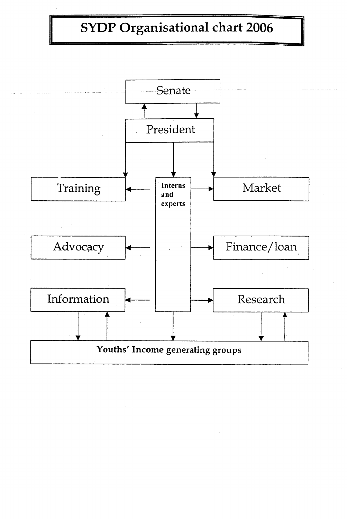# **SYDP Organisational chart 2006**

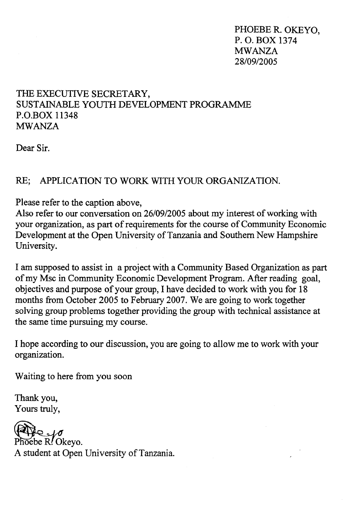**PHOEBE R. OKEYO, P. O. BOX 137 4 MWANZA 28/09/2005** 

### **THE EXECUTIVE SECRETARY, SUSTAINABLE YOUTH DEVELOPMENT PROGRAMME P.O.BOX 1134 8 MWANZA**

**Dear Sir.** 

### **RE: APPLICATION TO WORK WITH YOUR ORGANIZATION.**

**Please refer to the caption above,** 

**Also refer to our conversation on 26/09/2005 about my interest of working with your organization, as part of requirements for the course of Community Economic Development at the Open University of Tanzania and Southern New Hampshire University.** 

**I am supposed to assist in a project with a Community Based Organization as part**  of my Msc in Community Economic Development Program. After reading goal, **objectives and purpose of your group, I have decided to work with you for 18 months from October 2005 to February 2007. We are going to work together solving group problems together providing the group with technical assistance at the same time pursuing my course.** 

**I hope according to our discussion, you are going to allow me to work with your organization.** 

**Waiting to here from you soon** 

**Thank you, Yours truly,** 

Phoebe R. Okeyo. **A student at Open University of Tanzania.**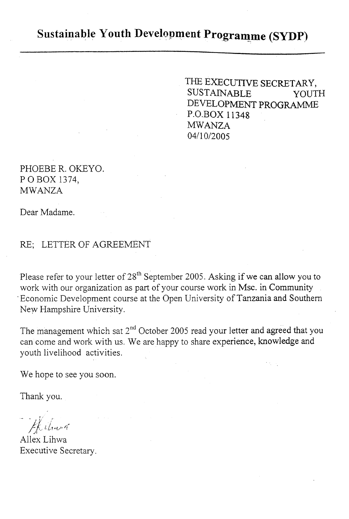## **Sustainable Youth Development Programme (SYDP)**

THE EXECUTIVE SECRETARY, SUSTAINABLE YOUTH DEVELOPMENT PROGRAMME P.O.BOX 11348 MWANZA 04/10/2005

PHOEBE R. OKEYO. POBOX 1374, MWANZA

Dear Madame.

### RE; LETTER OF AGREEMENT

Please refer to your letter of 28<sup>th</sup> September 2005. Asking if we can allow you to work with our organization as part of your course work in Msc. in Community 'Economic Development course at the Open University of Tanzania and Southern New Hampshire University.

The management which sat  $2^{nd}$  October 2005 read your letter and agreed that you can come and work with us. We are happy to share experience, knowledge and youth livelihood activities .

We hope to see you soon.

Thank you.

Hilmus

Allex Lihwa Executive Secretary.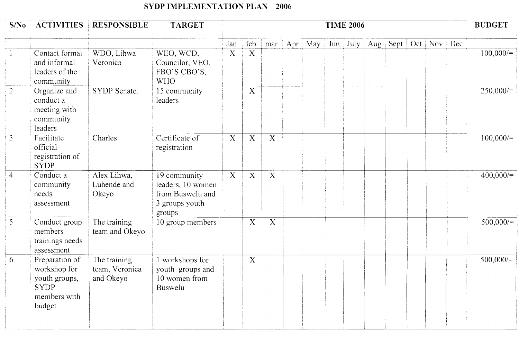## **SYDP IMPLEMENTATION PLAN - 2006**

| S/N <sub>0</sub> | <b>ACTIVITIES</b>                                                                        | <b>RESPONSIBLE</b>                          | <b>TARGET</b>                                                                     | <b>TIME 2006</b> |                |                           |  |                      |  |  | <b>BUDGET</b>                    |                 |  |             |
|------------------|------------------------------------------------------------------------------------------|---------------------------------------------|-----------------------------------------------------------------------------------|------------------|----------------|---------------------------|--|----------------------|--|--|----------------------------------|-----------------|--|-------------|
|                  |                                                                                          |                                             |                                                                                   | Jan              | feb            |                           |  | mar Apr May Jun July |  |  | $\vert$ Aug $\vert$ Sept $\vert$ | Oct   Nov   Dec |  |             |
|                  | Contact formal<br>and informal<br>leaders of the<br>community                            | WDO, Lihwa<br>Veronica                      | WEO, WCD.<br>Councilor, VEO.<br>FBO'S CBO'S,<br><b>WHO</b>                        | $\overline{X}$   | $\overline{X}$ |                           |  |                      |  |  |                                  |                 |  | 100,000/    |
| $\overline{2}$   | Organize and<br>conduct a<br>meeting with<br>community<br>leaders                        | SYDP Senate.                                | 15 community<br>leaders                                                           |                  | $\mathbf X$    |                           |  |                      |  |  |                                  |                 |  | 250,000/    |
| $\overline{3}$   | Facilitate<br>official<br>registration of<br><b>SYDP</b>                                 | Charles                                     | Certificate of<br>registration                                                    | $\mathbf X$      | $\mathbf X$    | $\mathbf X$               |  |                      |  |  |                                  |                 |  | $100,000/=$ |
| $\overline{4}$   | Conduct a<br>community<br>needs<br>assessment                                            | Alex Lihwa,<br>Luhende and<br>Okeyo         | 19 community<br>leaders, 10 women<br>from Buswelu and<br>3 groups youth<br>groups | $\mathbf{X}$     | $\mathbf X$    | $\mathbf X$               |  |                      |  |  |                                  |                 |  | 400,000/    |
| 5                | Conduct group<br>members<br>trainings needs<br>assessment                                | The training<br>team and Okeyo              | 10 group members                                                                  |                  | $\mathbf X$    | $\boldsymbol{\mathrm{X}}$ |  |                      |  |  |                                  |                 |  | 500,000/    |
| 6                | Preparation of<br>workshop for<br>youth groups,<br><b>SYDP</b><br>members with<br>budget | The training<br>team, Veronica<br>and Okeyo | 1 workshops for<br>youth groups and<br>10 women from<br>Buswelu                   |                  | $\mathbf X$    |                           |  |                      |  |  |                                  |                 |  | $500,000/=$ |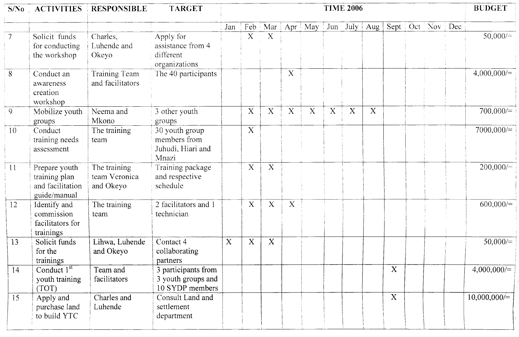| S/No             |                                                                    | <b>ACTIVITIES</b> RESPONSIBLE              | <b>TARGET</b>                                                | <b>TIME 2006</b> |                         |                         |                         |                           |             |             |                              | <b>BUDGET</b>    |  |               |
|------------------|--------------------------------------------------------------------|--------------------------------------------|--------------------------------------------------------------|------------------|-------------------------|-------------------------|-------------------------|---------------------------|-------------|-------------|------------------------------|------------------|--|---------------|
|                  |                                                                    |                                            |                                                              | Jan              | Feb                     | Mar                     | $\vert$ Apr $\vert$ May |                           |             |             | $ $ Jun $ $ July $ $ Aug $ $ | Sept Oct Nov Dec |  |               |
| $\overline{7}$   | Solicit funds<br>for conducting<br>the workshop                    | Charles,<br>Luhende and<br>Okeyo           | Apply for<br>assistance from 4<br>different<br>organizations |                  | $\overline{\mathrm{x}}$ | X                       |                         |                           |             |             |                              |                  |  | 50,000/       |
| $\boldsymbol{8}$ | Conduct an<br>awareness<br>creation<br>workshop                    | Training Team<br>and facilitators          | The 40 participants                                          |                  |                         |                         | X                       |                           |             |             |                              |                  |  | 4,000,000/    |
| 9                | Mobilize youth<br>groups                                           | Neema and<br>Mkono                         | 3 other youth<br>groups                                      |                  | $\mathbf X$             | X                       | $\overline{\mathbf{X}}$ | $\boldsymbol{\mathrm{X}}$ | $\mathbf X$ | $\mathbf X$ | $\mathbf X$                  |                  |  | $700.000 =$   |
| 10               | Conduct<br>training needs<br>assessment                            | The training<br>team                       | 30 youth group<br>members from<br>Juhudi, Hiari and<br>Mnazi |                  | $\mathbf X$             |                         |                         |                           |             |             |                              |                  |  | 7000,000/     |
| $\overline{11}$  | Prepare youth<br>training plan<br>and facilitation<br>guide/manual | The training<br>team Veronica<br>and Okeyo | Training package<br>and respective<br>schedule               |                  | $\mathbf X$             | $\overline{\mathbf{X}}$ |                         |                           |             |             |                              |                  |  | 200,000/      |
| 12               | Identify and<br>commission<br>facilitators for<br>trainings        | The training<br>team                       | 2 facilitators and 1<br>technician                           |                  | $\mathbf X$             | $\overline{\mathbf{X}}$ | $\overline{\mathbf{X}}$ |                           |             |             |                              |                  |  | 600,000/      |
| 13               | Solicit funds<br>for the<br>trainings                              | Lihwa, Luhende<br>and Okeyo                | Contact 4<br>collaborating<br>partners                       | $\mathbf{X}$     | $\mathbf X$             | $\mathbf X$             |                         |                           |             |             |                              |                  |  | 50,000/       |
| 14               | Conduct $1st$<br>youth training<br>(TOT)                           | Team and<br>facilitators                   | 3 participants from<br>3 youth groups and<br>10 SYDP members |                  |                         |                         |                         |                           |             |             |                              | X                |  | $4,000,000/=$ |
| 15               | Apply and<br>purchase land<br>to build YTC                         | Charles and<br>Luhende                     | Consult Land and<br>settlement<br>department                 |                  |                         |                         |                         |                           |             |             |                              | X                |  | 10,000,000/   |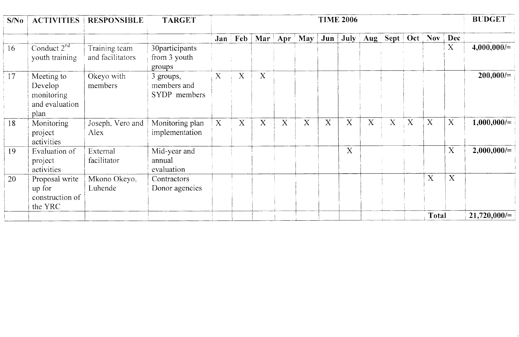| S/No | <b>ACTIVITIES</b>                                             | <b>RESPONSIBLE</b>                | <b>TARGET</b>                            | <b>TIME 2006</b> |              |                            |   |             |              |      | <b>BUDGET</b>  |                  |             |              |                           |                |
|------|---------------------------------------------------------------|-----------------------------------|------------------------------------------|------------------|--------------|----------------------------|---|-------------|--------------|------|----------------|------------------|-------------|--------------|---------------------------|----------------|
|      |                                                               |                                   |                                          |                  | Jan Feb      | Mar   Apr $^{\dagger}$ May |   |             | $Jun \mid$   | July | $\mathbf{Aug}$ | Sept   Oct   Nov |             |              | Dec                       |                |
| 16   | Conduct $2nd$<br>youth training                               | Training team<br>and facilitators | 30participants<br>from 3 youth<br>groups |                  |              |                            |   |             |              |      |                |                  |             |              | X                         | $4,000,000/=$  |
| 17   | Meeting to<br>Develop<br>monitoring<br>and evaluation<br>plan | Okeyo with<br>members             | 3 groups,<br>members and<br>SYDP members | X                | X            | X                          |   |             |              |      |                |                  |             |              |                           | $200,000/=$    |
| 18   | Monitoring<br>project<br>activities                           | Joseph, Vero and<br>Alex          | Monitoring plan<br>implementation        | X                | $\mathbf{X}$ | X                          | X | $\mathbf X$ | $\mathbf{X}$ | X    | X              | X                | $\mathbf X$ | $\mathbf X$  | X                         | $1,000,000/=$  |
| 19   | Evaluation of<br>project<br>activities                        | External<br>facilitator           | Mid-year and<br>annual<br>evaluation     |                  |              |                            |   |             |              | X    |                |                  |             |              | $\boldsymbol{\mathrm{X}}$ | $2,000,000/=$  |
| 20   | Proposal write<br>up for<br>construction of<br>the YRC        | Mkono Okeyo,<br>Luhende           | Contractors<br>Donor agencies            |                  |              |                            |   |             |              |      |                |                  |             | X            | X                         |                |
|      |                                                               |                                   |                                          |                  |              |                            |   |             |              |      |                |                  |             | <b>Total</b> |                           | $21,720,000/=$ |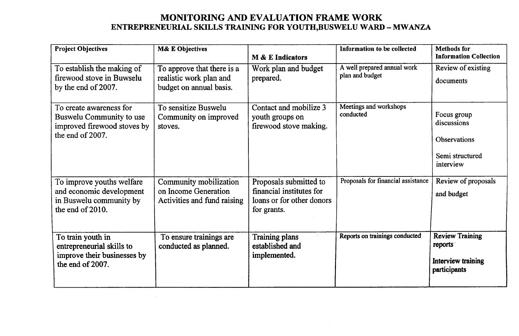### **MONITORING AND EVALUATION FRAME WORK ENTREPRENEURIAL SKILLS TRAINING FOR YOUTH,BUSWELU WARD - MWANZA**

| <b>Project Objectives</b>                                                                              | <b>M&amp; E Objectives</b>                                                       | <b>M</b> & E Indicators                                                                        | Information to be collected                    | <b>Methods</b> for<br><b>Information Collection</b>                        |
|--------------------------------------------------------------------------------------------------------|----------------------------------------------------------------------------------|------------------------------------------------------------------------------------------------|------------------------------------------------|----------------------------------------------------------------------------|
| To establish the making of<br>firewood stove in Buwselu<br>by the end of 2007.                         | To approve that there is a<br>realistic work plan and<br>budget on annual basis. | Work plan and budget<br>prepared.                                                              | A well prepared annual work<br>plan and budget | Review of existing<br>documents                                            |
| To create awareness for<br>Buswelu Community to use<br>improved firewood stoves by<br>the end of 2007. | To sensitize Buswelu<br>Community on improved<br>stoves.                         | Contact and mobilize 3<br>youth groups on<br>firewood stove making.                            | Meetings and workshops<br>conducted            | Focus group<br>discussions<br>Observations<br>Semi structured<br>interview |
| To improve youths welfare<br>and economic development<br>in Buswelu community by<br>the end of 2010.   | Community mobilization<br>on Income Generation<br>Activities and fund raising    | Proposals submitted to<br>financial institutes for<br>loans or for other donors<br>for grants. | Proposals for financial assistance             | Review of proposals<br>and budget                                          |
| To train youth in<br>entrepreneurial skills to<br>improve their businesses by<br>the end of 2007.      | To ensure trainings are<br>conducted as planned.                                 | <b>Training plans</b><br>established and<br>implemented.                                       | Reports on trainings conducted                 | <b>Review Training</b><br>reports<br>Interview training<br>participants    |